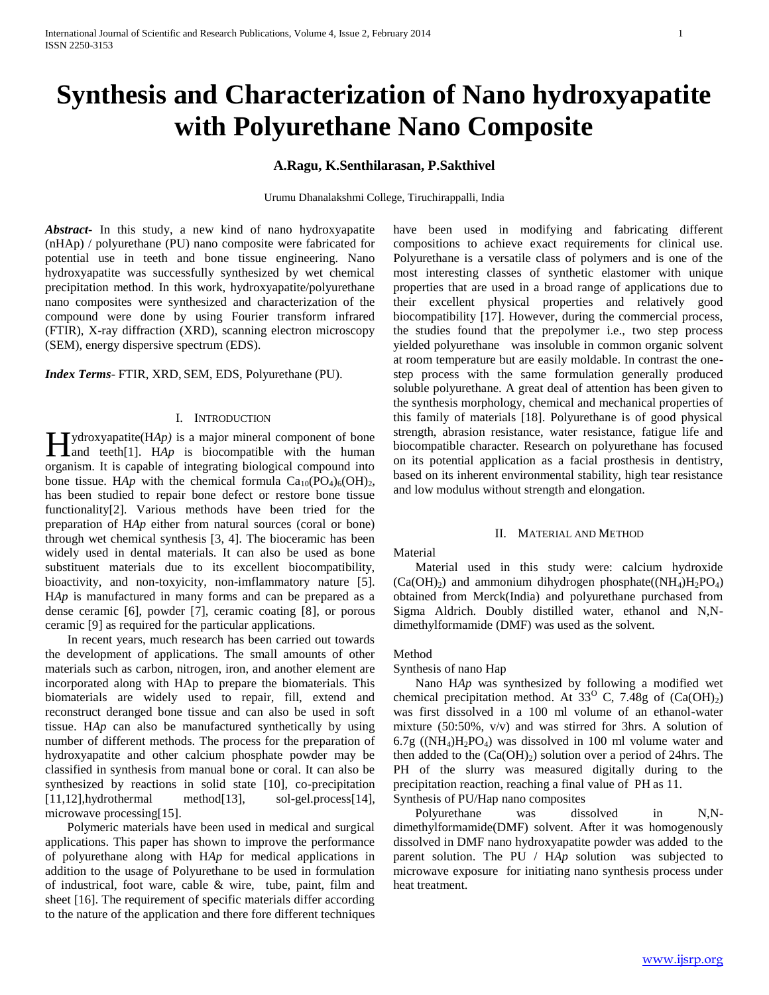# **Synthesis and Characterization of Nano hydroxyapatite with Polyurethane Nano Composite**

# **A.Ragu, K.Senthilarasan, P.Sakthivel**

Urumu Dhanalakshmi College, Tiruchirappalli, India

*Abstract***-** In this study, a new kind of nano hydroxyapatite (nHAp) / polyurethane (PU) nano composite were fabricated for potential use in teeth and bone tissue engineering. Nano hydroxyapatite was successfully synthesized by wet chemical precipitation method. In this work, hydroxyapatite/polyurethane nano composites were synthesized and characterization of the compound were done by using Fourier transform infrared (FTIR), X-ray diffraction (XRD), scanning electron microscopy (SEM), energy dispersive spectrum (EDS).

#### *Index Terms*- FTIR, XRD, SEM, EDS, Polyurethane (PU).

#### I. INTRODUCTION

 $\Box$  ydroxyapatite(HAp) is a major mineral component of bone  $\prod$ ydroxyapatite(HAp) is a major mineral component of bone<br>and teeth[1]. HAp is biocompatible with the human organism. It is capable of integrating biological compound into bone tissue. HAp with the chemical formula  $Ca_{10}(PO_4)_6(OH)_2$ , has been studied to repair bone defect or restore bone tissue functionality[2]. Various methods have been tried for the preparation of H*Ap* either from natural sources (coral or bone) through wet chemical synthesis [3, 4]. The bioceramic has been widely used in dental materials. It can also be used as bone substituent materials due to its excellent biocompatibility, bioactivity, and non-toxyicity, non-imflammatory nature [5]. H*Ap* is manufactured in many forms and can be prepared as a dense ceramic [6], powder [7], ceramic coating [8], or porous ceramic [9] as required for the particular applications.

 In recent years, much research has been carried out towards the development of applications. The small amounts of other materials such as carbon, nitrogen, iron, and another element are incorporated along with HAp to prepare the biomaterials. This biomaterials are widely used to repair, fill, extend and reconstruct deranged bone tissue and can also be used in soft tissue. H*Ap* can also be manufactured synthetically by using number of different methods. The process for the preparation of hydroxyapatite and other calcium phosphate powder may be classified in synthesis from manual bone or coral. It can also be synthesized by reactions in solid state [10], co-precipitation [11,12],hydrothermal method[13], sol-gel.process[14], microwave processing[15].

 Polymeric materials have been used in medical and surgical applications. This paper has shown to improve the performance of polyurethane along with H*Ap* for medical applications in addition to the usage of Polyurethane to be used in formulation of industrical, foot ware, cable & wire, tube, paint, film and sheet [16]. The requirement of specific materials differ according to the nature of the application and there fore different techniques have been used in modifying and fabricating different compositions to achieve exact requirements for clinical use. Polyurethane is a versatile class of polymers and is one of the most interesting classes of synthetic elastomer with unique properties that are used in a broad range of applications due to their excellent physical properties and relatively good biocompatibility [17]. However, during the commercial process, the studies found that the prepolymer i.e., two step process yielded polyurethane was insoluble in common organic solvent at room temperature but are easily moldable. In contrast the onestep process with the same formulation generally produced soluble polyurethane. A great deal of attention has been given to the synthesis morphology, chemical and mechanical properties of this family of materials [18]. Polyurethane is of good physical strength, abrasion resistance, water resistance, fatigue life and biocompatible character. Research on polyurethane has focused on its potential application as a facial prosthesis in dentistry, based on its inherent environmental stability, high tear resistance and low modulus without strength and elongation.

#### II. MATERIAL AND METHOD

#### Material

 Material used in this study were: calcium hydroxide  $(Ca(OH<sub>2</sub>))$  and ammonium dihydrogen phosphate $(Ca(OH<sub>4</sub>)H<sub>2</sub>PO<sub>4</sub>)$ obtained from Merck(India) and polyurethane purchased from Sigma Aldrich. Doubly distilled water, ethanol and N,Ndimethylformamide (DMF) was used as the solvent.

# Method

#### Synthesis of nano Hap

 Nano H*Ap* was synthesized by following a modified wet chemical precipitation method. At  $33^{\circ}$  C, 7.48g of (Ca(OH)<sub>2</sub>) was first dissolved in a 100 ml volume of an ethanol-water mixture (50:50%, v/v) and was stirred for 3hrs. A solution of  $6.7g$  ((NH<sub>4</sub>)H<sub>2</sub>PO<sub>4</sub>) was dissolved in 100 ml volume water and then added to the  $(Ca(OH<sub>2</sub>)$  solution over a period of 24hrs. The PH of the slurry was measured digitally during to the precipitation reaction, reaching a final value of PH as 11. Synthesis of PU/Hap nano composites

 Polyurethane was dissolved in N,Ndimethylformamide(DMF) solvent. After it was homogenously dissolved in DMF nano hydroxyapatite powder was added to the parent solution. The PU / H*Ap* solution was subjected to microwave exposure for initiating nano synthesis process under heat treatment.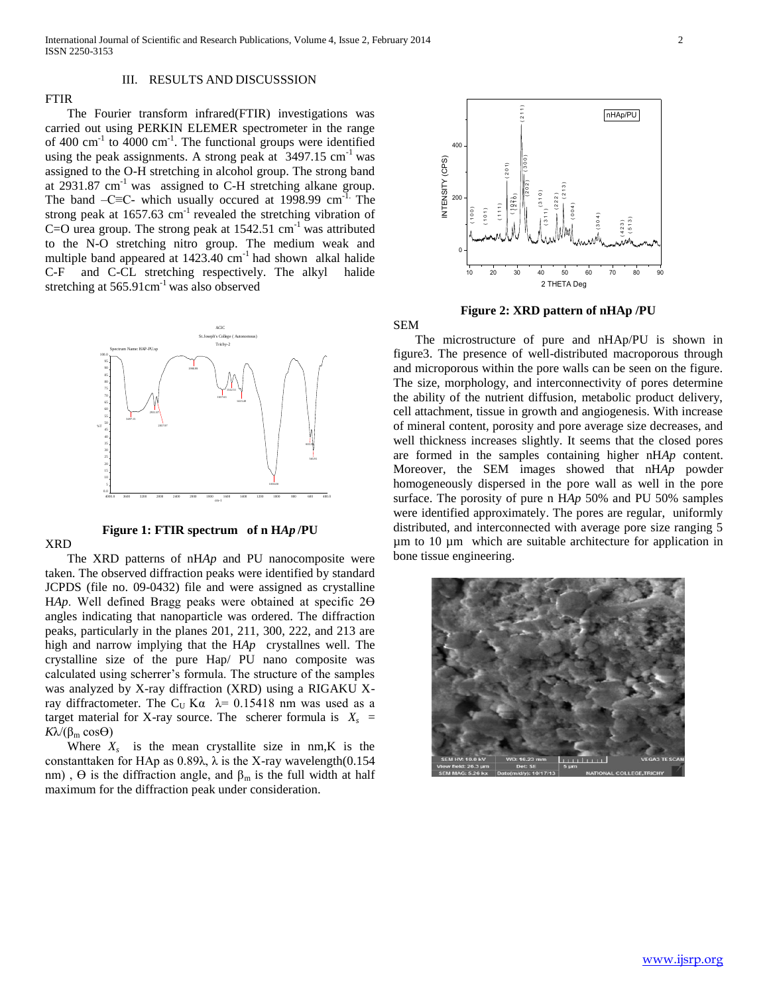# III. RESULTS AND DISCUSSSION

# FTIR

 The Fourier transform infrared(FTIR) investigations was carried out using PERKIN ELEMER spectrometer in the range of 400 cm<sup>-1</sup> to 4000 cm<sup>-1</sup>. The functional groups were identified using the peak assignments. A strong peak at  $3497.15$  cm<sup>-1</sup> was assigned to the O-H stretching in alcohol group. The strong band at 2931.87  $cm^{-1}$  was assigned to C-H stretching alkane group. The band –C≡C- which usually occured at 1998.99 cm<sup>-1.</sup> The strong peak at  $1657.63$  cm<sup>-1</sup> revealed the stretching vibration of C=O urea group. The strong peak at  $1542.51$  cm<sup>-1</sup> was attributed to the N-O stretching nitro group. The medium weak and multiple band appeared at  $1423.40 \text{ cm}^{-1}$  had shown alkal halide C-F and C-CL stretching respectively. The alkyl halide stretching at  $565.91 \text{cm}^{-1}$  was also observed



# **Figure 1: FTIR spectrum of n H***Ap* **/PU**

XRD

 The XRD patterns of nH*Ap* and PU nanocomposite were taken. The observed diffraction peaks were identified by standard JCPDS (file no. 09-0432) file and were assigned as crystalline HAp. Well defined Bragg peaks were obtained at specific 2 $\Theta$ angles indicating that nanoparticle was ordered. The diffraction peaks, particularly in the planes 201, 211, 300, 222, and 213 are high and narrow implying that the H*Ap* crystallnes well. The crystalline size of the pure Hap/ PU nano composite was calculated using scherrer's formula. The structure of the samples was analyzed by X-ray diffraction (XRD) using a RIGAKU Xray diffractometer. The C<sub>U</sub> Kα  $λ= 0.15418$  nm was used as a target material for X-ray source. The scherer formula is  $X_s$  = *K*λ/(β<sub>m</sub> cosθ)

Where  $X_s$  is the mean crystallite size in nm, K is the constanttaken for HAp as  $0.89\lambda$ ,  $\lambda$  is the X-ray wavelength $(0.154)$ nm),  $\Theta$  is the diffraction angle, and  $\beta_m$  is the full width at half maximum for the diffraction peak under consideration.



**Figure 2: XRD pattern of nHAp /PU**

SEM

 The microstructure of pure and nHAp/PU is shown in figure3. The presence of well-distributed macroporous through and microporous within the pore walls can be seen on the figure. The size, morphology, and interconnectivity of pores determine the ability of the nutrient diffusion, metabolic product delivery, cell attachment, tissue in growth and angiogenesis. With increase of mineral content, porosity and pore average size decreases, and well thickness increases slightly. It seems that the closed pores are formed in the samples containing higher nH*Ap* content. Moreover, the SEM images showed that nH*Ap* powder homogeneously dispersed in the pore wall as well in the pore surface. The porosity of pure n H*Ap* 50% and PU 50% samples were identified approximately. The pores are regular, uniformly distributed, and interconnected with average pore size ranging 5 µm to 10 µm which are suitable architecture for application in bone tissue engineering.

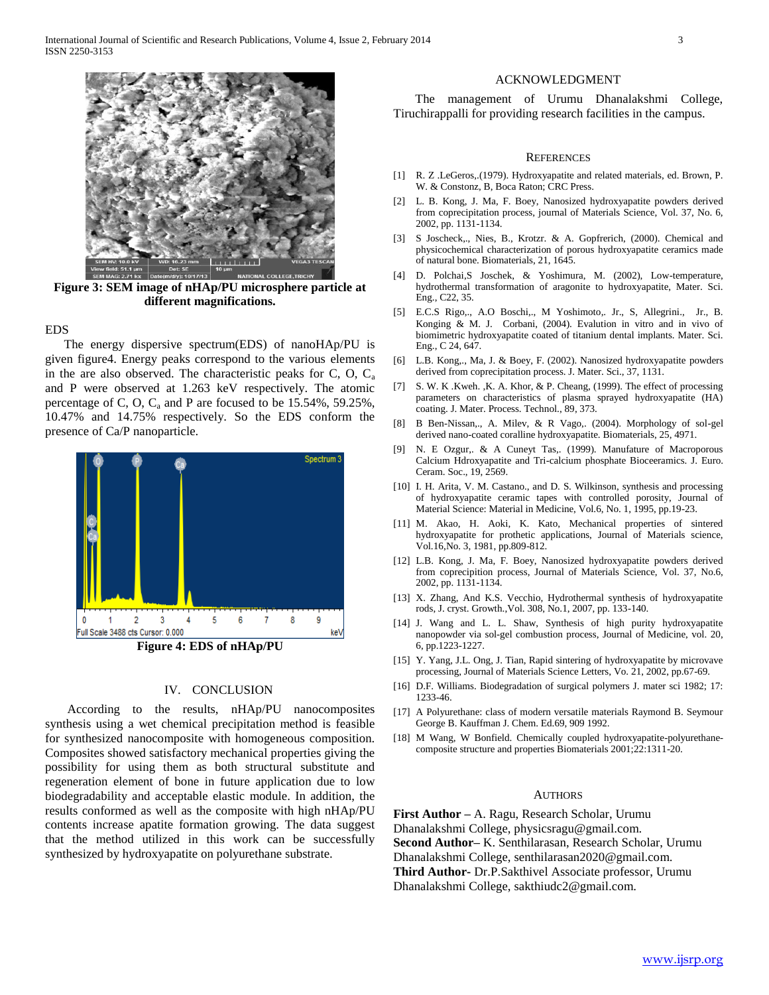

**Figure 3: SEM image of nHAp/PU microsphere particle at different magnifications.**

# EDS

 The energy dispersive spectrum(EDS) of nanoHAp/PU is given figure4. Energy peaks correspond to the various elements in the are also observed. The characteristic peaks for C, O,  $C_a$ and P were observed at 1.263 keV respectively. The atomic percentage of C, O,  $C_a$  and P are focused to be 15.54%, 59.25%, 10.47% and 14.75% respectively. So the EDS conform the presence of Ca/P nanoparticle.



### IV. CONCLUSION

 According to the results, nHAp/PU nanocomposites synthesis using a wet chemical precipitation method is feasible for synthesized nanocomposite with homogeneous composition. Composites showed satisfactory mechanical properties giving the possibility for using them as both structural substitute and regeneration element of bone in future application due to low biodegradability and acceptable elastic module. In addition, the results conformed as well as the composite with high nHAp/PU contents increase apatite formation growing. The data suggest that the method utilized in this work can be successfully synthesized by hydroxyapatite on polyurethane substrate.

#### ACKNOWLEDGMENT

 The management of Urumu Dhanalakshmi College, Tiruchirappalli for providing research facilities in the campus.

#### **REFERENCES**

- [1] R. Z .LeGeros,.(1979). Hydroxyapatite and related materials, ed. Brown, P. W. & Constonz, B, Boca Raton; CRC Press.
- [2] L. B. Kong, J. Ma, F. Boey, Nanosized hydroxyapatite powders derived from coprecipitation process, journal of Materials Science, Vol. 37, No. 6, 2002, pp. 1131-1134.
- [3] S Joscheck,., Nies, B., Krotzr. & A. Gopfrerich, (2000). Chemical and physicochemical characterization of porous hydroxyapatite ceramics made of natural bone. Biomaterials, 21, 1645.
- [4] D. Polchai,S Joschek, & Yoshimura, M. (2002), Low-temperature, hydrothermal transformation of aragonite to hydroxyapatite, Mater. Sci. Eng., C22, 35.
- [5] E.C.S Rigo,., A.O Boschi,., M Yoshimoto,. Jr., S, Allegrini., Jr., B. Konging & M. J. Corbani, (2004). Evalution in vitro and in vivo of biomimetric hydroxyapatite coated of titanium dental implants. Mater. Sci. Eng., C 24, 647.
- [6] L.B. Kong,., Ma, J. & Boey, F. (2002). Nanosized hydroxyapatite powders derived from coprecipitation process. J. Mater. Sci., 37, 1131.
- [7] S. W. K .Kweh., K. A. Khor, & P. Cheang, (1999). The effect of processing parameters on characteristics of plasma sprayed hydroxyapatite (HA) coating. J. Mater. Process. Technol., 89, 373.
- [8] B Ben-Nissan,., A. Milev, & R Vago,. (2004). Morphology of sol-gel derived nano-coated coralline hydroxyapatite. Biomaterials, 25, 4971.
- [9] N. E Ozgur,. & A Cuneyt Tas,. (1999). Manufature of Macroporous Calcium Hdroxyapatite and Tri-calcium phosphate Bioceeramics. J. Euro. Ceram. Soc., 19, 2569.
- [10] I. H. Arita, V. M. Castano., and D. S. Wilkinson, synthesis and processing of hydroxyapatite ceramic tapes with controlled porosity, Journal of Material Science: Material in Medicine, Vol.6, No. 1, 1995, pp.19-23.
- [11] M. Akao, H. Aoki, K. Kato, Mechanical properties of sintered hydroxyapatite for prothetic applications, Journal of Materials science, Vol.16,No. 3, 1981, pp.809-812.
- [12] L.B. Kong, J. Ma, F. Boey, Nanosized hydroxyapatite powders derived from coprecipition process, Journal of Materials Science, Vol. 37, No.6, 2002, pp. 1131-1134.
- [13] X. Zhang, And K.S. Vecchio, Hydrothermal synthesis of hydroxyapatite rods, J. cryst. Growth.,Vol. 308, No.1, 2007, pp. 133-140.
- [14] J. Wang and L. L. Shaw, Synthesis of high purity hydroxyapatite nanopowder via sol-gel combustion process, Journal of Medicine, vol. 20, 6, pp.1223-1227.
- [15] Y. Yang, J.L. Ong, J. Tian, Rapid sintering of hydroxyapatite by microvave processing, Journal of Materials Science Letters, Vo. 21, 2002, pp.67-69.
- [16] D.F. Williams. Biodegradation of surgical polymers J. mater sci 1982; 17: 1233-46.
- [17] A Polyurethane: class of modern versatile materials Raymond B. Seymour George B. Kauffman J. Chem. Ed.69, 909 1992.
- [18] M Wang, W Bonfield. Chemically coupled hydroxyapatite-polyurethanecomposite structure and properties Biomaterials 2001;22:1311-20.

#### AUTHORS

**First Author –** A. Ragu, Research Scholar, Urumu Dhanalakshmi College, physicsragu@gmail.com. **Second Author–** K. Senthilarasan, Research Scholar, Urumu Dhanalakshmi College, senthilarasan2020@gmail.com. **Third Author-** Dr.P.Sakthivel Associate professor, Urumu Dhanalakshmi College, sakthiudc2@gmail.com.